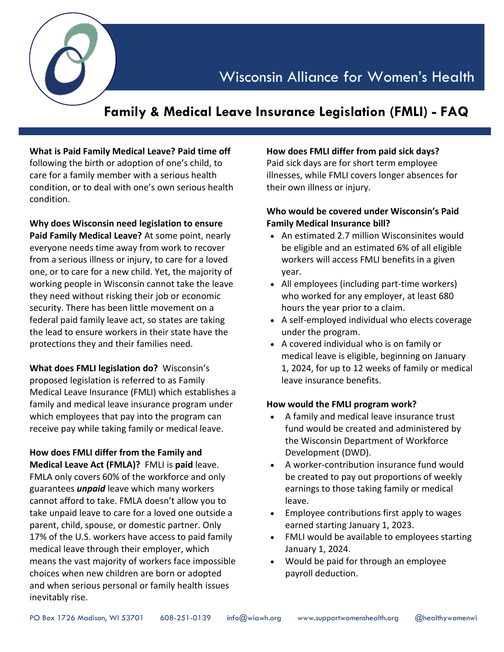Wisconsin Alliance for Women's Health

# **Family & Medical Leave Insurance Legislation (FMLI) - FAQ**

# **What is Paid Family Medical Leave? Paid time off**

following the birth or adoption of one's child, to care for a family member with a serious health condition, or to deal with one's own serious health condition.

**Why does Wisconsin need legislation to ensure Paid Family Medical Leave?** At some point, nearly everyone needs time away from work to recover from a serious illness or injury, to care for a loved one, or to care for a new child. Yet, the majority of working people in Wisconsin cannot take the leave they need without risking their job or economic security. There has been little movement on a federal paid family leave act, so states are taking the lead to ensure workers in their state have the protections they and their families need.

**What does FMLI legislation do?** Wisconsin's proposed legislation is referred to as Family Medical Leave Insurance (FMLI) which establishes a family and medical leave insurance program under which employees that pay into the program can receive pay while taking family or medical leave.

**How does FMLI differ from the Family and Medical Leave Act (FMLA)?** FMLI is **paid** leave. FMLA only covers 60% of the workforce and only guarantees *unpaid* leave which many workers cannot afford to take. FMLA doesn't allow you to take unpaid leave to care for a loved one outside a parent, child, spouse, or domestic partner. Only 17% of the U.S. workers have access to paid family medical leave through their employer, which means the vast majority of workers face impossible choices when new children are born or adopted and when serious personal or family health issues inevitably rise.

#### **How does FMLI differ from paid sick days?**

Paid sick days are for short term employee illnesses, while FMLI covers longer absences for their own illness or injury.

#### **Who would be covered under Wisconsin's Paid Family Medical Insurance bill?**

- An estimated 2.7 million Wisconsinites would be eligible and an estimated 6% of all eligible workers will access FMLI benefits in a given year.
- All employees (including part-time workers) who worked for any employer, at least 680 hours the year prior to a claim.
- A self-employed individual who elects coverage under the program.
- A covered individual who is on family or medical leave is eligible, beginning on January 1, 2024, for up to 12 weeks of family or medical leave insurance benefits.

#### **How would the FMLI program work?**

- A family and medical leave insurance trust fund would be created and administered by the Wisconsin Department of Workforce Development (DWD).
- A worker-contribution insurance fund would be created to pay out proportions of weekly earnings to those taking family or medical leave.
- Employee contributions first apply to wages earned starting January 1, 2023.
- FMLI would be available to employees starting January 1, 2024.
- Would be paid for through an employee payroll deduction.